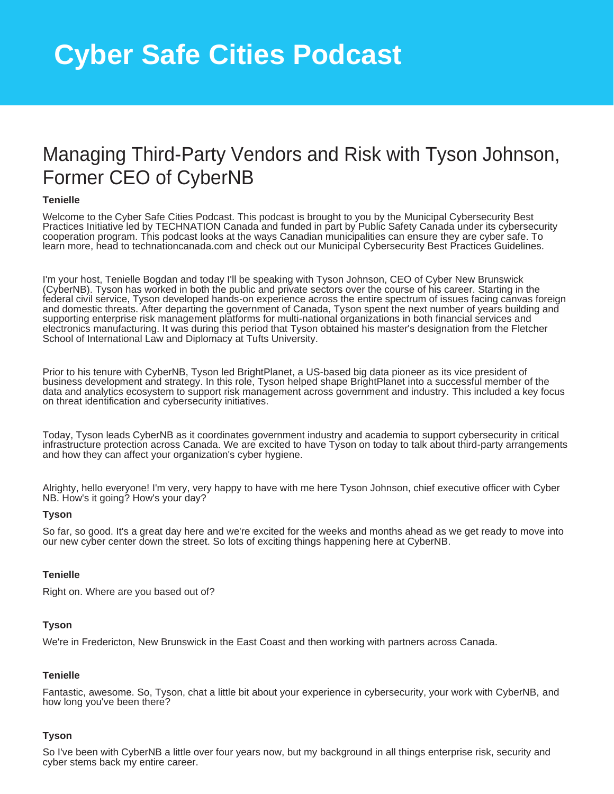# Managing Third-Party Vendors and Risk with Tyson Johnson, Former CEO of CyberNB

# **Tenielle**

Welcome to the Cyber Safe Cities Podcast. This podcast is brought to you by the Municipal Cybersecurity Best Practices Initiative led by TECHNATION Canada and funded in part by Public Safety Canada under its cybersecurity cooperation program. This podcast looks at the ways Canadian municipalities can ensure they are cyber safe. To learn more, head to technationcanada.com and check out our Municipal Cybersecurity Best Practices Guidelines.

I'm your host, Tenielle Bogdan and today I'll be speaking with Tyson Johnson, CEO of Cyber New Brunswick (CyberNB). Tyson has worked in both the public and private sectors over the course of his career. Starting in the federal civil service, Tyson developed hands-on experience across the entire spectrum of issues facing canvas foreign and domestic threats. After departing the government of Canada, Tyson spent the next number of years building and supporting enterprise risk management platforms for multi-national organizations in both financial services and electronics manufacturing. It was during this period that Tyson obtained his master's designation from the Fletcher School of International Law and Diplomacy at Tufts University.

Prior to his tenure with CyberNB, Tyson led BrightPlanet, a US-based big data pioneer as its vice president of business development and strategy. In this role, Tyson helped shape BrightPlanet into a successful member of the data and analytics ecosystem to support risk management across government and industry. This included a key focus on threat identification and cybersecurity initiatives.

Today, Tyson leads CyberNB as it coordinates government industry and academia to support cybersecurity in critical infrastructure protection across Canada. We are excited to have Tyson on today to talk about third-party arrangements and how they can affect your organization's cyber hygiene.

Alrighty, hello everyone! I'm very, very happy to have with me here Tyson Johnson, chief executive officer with Cyber NB. How's it going? How's your day?

### **Tyson**

So far, so good. It's a great day here and we're excited for the weeks and months ahead as we get ready to move into our new cyber center down the street. So lots of exciting things happening here at CyberNB.

## **Tenielle**

Right on. Where are you based out of?

# **Tyson**

We're in Fredericton, New Brunswick in the East Coast and then working with partners across Canada.

### **Tenielle**

Fantastic, awesome. So, Tyson, chat a little bit about your experience in cybersecurity, your work with CyberNB, and how long you've been there?

### **Tyson**

So I've been with CyberNB a little over four years now, but my background in all things enterprise risk, security and cyber stems back my entire career.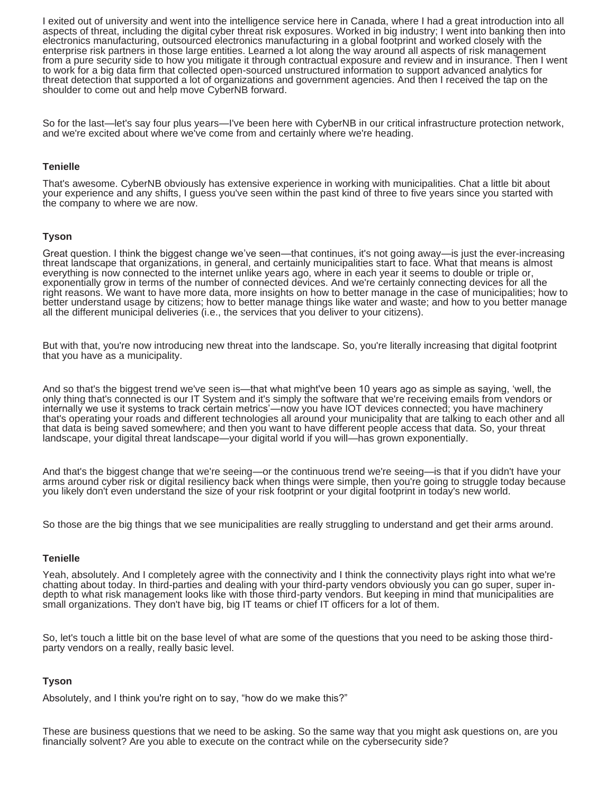I exited out of university and went into the intelligence service here in Canada, where I had a great introduction into all aspects of threat, including the digital cyber threat risk exposures. Worked in big industry; I went into banking then into electronics manufacturing, outsourced electronics manufacturing in a global footprint and worked closely with the enterprise risk partners in those large entities. Learned a lot along the way around all aspects of risk management from a pure security side to how you mitigate it through contractual exposure and review and in insurance. Then I went to work for a big data firm that collected open-sourced unstructured information to support advanced analytics for threat detection that supported a lot of organizations and government agencies. And then I received the tap on the shoulder to come out and help move CyberNB forward.

So for the last—let's say four plus years—I've been here with CyberNB in our critical infrastructure protection network, and we're excited about where we've come from and certainly where we're heading.

## **Tenielle**

That's awesome. CyberNB obviously has extensive experience in working with municipalities. Chat a little bit about your experience and any shifts, I guess you've seen within the past kind of three to five years since you started with the company to where we are now.

### **Tyson**

Great question. I think the biggest change we've seen—that continues, it's not going away—is just the ever-increasing threat landscape that organizations, in general, and certainly municipalities start to face. What that means is almost everything is now connected to the internet unlike years ago, where in each year it seems to double or triple or, exponentially grow in terms of the number of connected devices. And we're certainly connecting devices for all the right reasons. We want to have more data, more insights on how to better manage in the case of municipalities; how to better understand usage by citizens; how to better manage things like water and waste; and how to you better manage all the different municipal deliveries (i.e., the services that you deliver to your citizens).

But with that, you're now introducing new threat into the landscape. So, you're literally increasing that digital footprint that you have as a municipality.

And so that's the biggest trend we've seen is—that what might've been 10 years ago as simple as saying, 'well, the only thing that's connected is our IT System and it's simply the software that we're receiving emails from vendors or internally we use it systems to track certain metrics'—now you have IOT devices connected; you have machinery that's operating your roads and different technologies all around your municipality that are talking to each other and all that data is being saved somewhere; and then you want to have different people access that data. So, your threat landscape, your digital threat landscape—your digital world if you will—has grown exponentially.

And that's the biggest change that we're seeing—or the continuous trend we're seeing—is that if you didn't have your arms around cyber risk or digital resiliency back when things were simple, then you're going to struggle today because you likely don't even understand the size of your risk footprint or your digital footprint in today's new world.

So those are the big things that we see municipalities are really struggling to understand and get their arms around.

### **Tenielle**

Yeah, absolutely. And I completely agree with the connectivity and I think the connectivity plays right into what we're chatting about today. In third-parties and dealing with your third-party vendors obviously you can go super, super indepth to what risk management looks like with those third-party vendors. But keeping in mind that municipalities are small organizations. They don't have big, big IT teams or chief IT officers for a lot of them.

So, let's touch a little bit on the base level of what are some of the questions that you need to be asking those thirdparty vendors on a really, really basic level.

### **Tyson**

Absolutely, and I think you're right on to say, "how do we make this?"

These are business questions that we need to be asking. So the same way that you might ask questions on, are you financially solvent? Are you able to execute on the contract while on the cybersecurity side?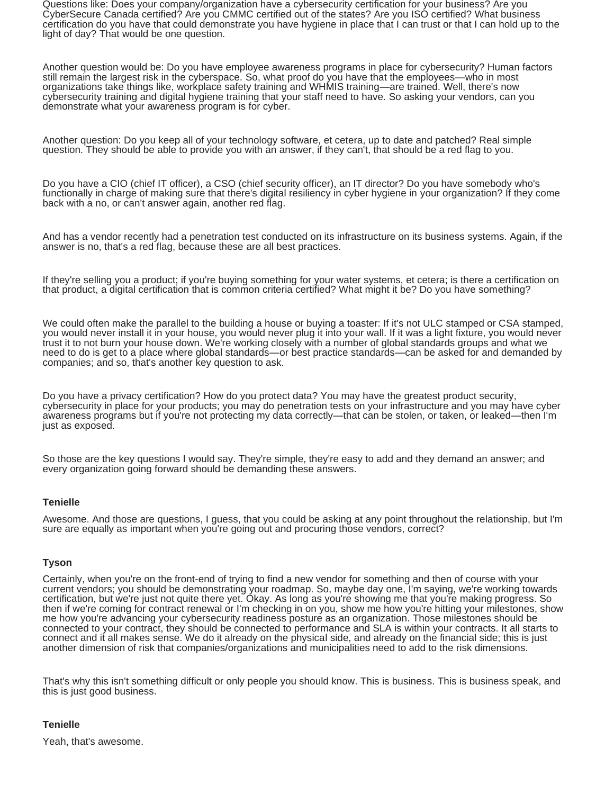Questions like: Does your company/organization have a cybersecurity certification for your business? Are you CyberSecure Canada certified? Are you CMMC certified out of the states? Are you ISO certified? What business certification do you have that could demonstrate you have hygiene in place that I can trust or that I can hold up to the light of day? That would be one question.

Another question would be: Do you have employee awareness programs in place for cybersecurity? Human factors still remain the largest risk in the cyberspace. So, what proof do you have that the employees—who in most organizations take things like, workplace safety training and WHMIS training—are trained. Well, there's now cybersecurity training and digital hygiene training that your staff need to have. So asking your vendors, can you demonstrate what your awareness program is for cyber.

Another question: Do you keep all of your technology software, et cetera, up to date and patched? Real simple question. They should be able to provide you with an answer, if they can't, that should be a red flag to you.

Do you have a CIO (chief IT officer), a CSO (chief security officer), an IT director? Do you have somebody who's functionally in charge of making sure that there's digital resiliency in cyber hygiene in your organization? If they come back with a no, or can't answer again, another red flag.

And has a vendor recently had a penetration test conducted on its infrastructure on its business systems. Again, if the answer is no, that's a red flag, because these are all best practices.

If they're selling you a product; if you're buying something for your water systems, et cetera; is there a certification on that product, a digital certification that is common criteria certified? What might it be? Do you have something?

We could often make the parallel to the building a house or buying a toaster: If it's not ULC stamped or CSA stamped, you would never install it in your house, you would never plug it into your wall. If it was a light fixture, you would never trust it to not burn your house down. We're working closely with a number of global standards groups and what we need to do is get to a place where global standards—or best practice standards—can be asked for and demanded by companies; and so, that's another key question to ask.

Do you have a privacy certification? How do you protect data? You may have the greatest product security, cybersecurity in place for your products; you may do penetration tests on your infrastructure and you may have cyber awareness programs but if you're not protecting my data correctly—that can be stolen, or taken, or leaked—then I'm just as exposed.

So those are the key questions I would say. They're simple, they're easy to add and they demand an answer; and every organization going forward should be demanding these answers.

# **Tenielle**

Awesome. And those are questions, I guess, that you could be asking at any point throughout the relationship, but I'm sure are equally as important when you're going out and procuring those vendors, correct?

# **Tyson**

Certainly, when you're on the front-end of trying to find a new vendor for something and then of course with your current vendors; you should be demonstrating your roadmap. So, maybe day one, I'm saying, we're working towards certification, but we're just not quite there yet. Okay. As long as you're showing me that you're making progress. So then if we're coming for contract renewal or I'm checking in on you, show me how you're hitting your milestones, show me how you're advancing your cybersecurity readiness posture as an organization. Those milestones should be connected to your contract, they should be connected to performance and SLA is within your contracts. It all starts to connect and it all makes sense. We do it already on the physical side, and already on the financial side; this is just another dimension of risk that companies/organizations and municipalities need to add to the risk dimensions.

That's why this isn't something difficult or only people you should know. This is business. This is business speak, and this is just good business.

# **Tenielle**

Yeah, that's awesome.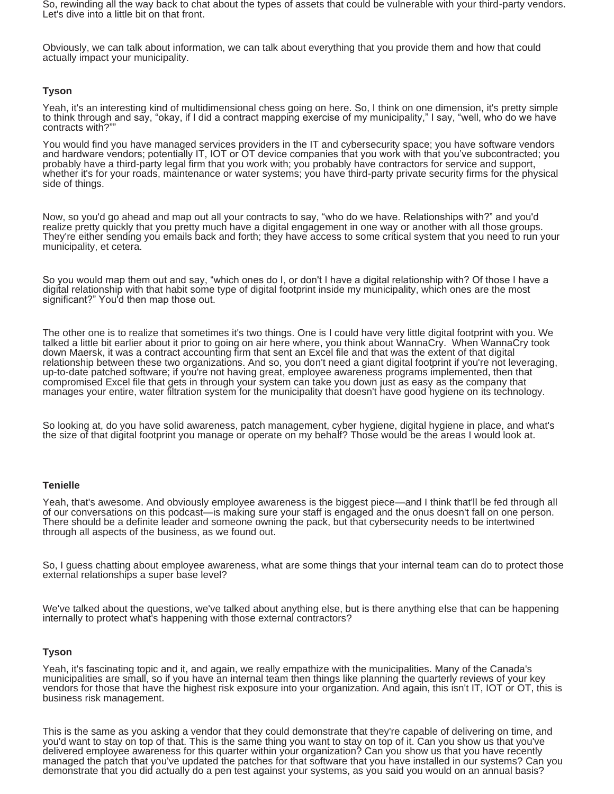So, rewinding all the way back to chat about the types of assets that could be vulnerable with your third-party vendors. Let's dive into a little bit on that front.

Obviously, we can talk about information, we can talk about everything that you provide them and how that could actually impact your municipality.

## **Tyson**

Yeah, it's an interesting kind of multidimensional chess going on here. So, I think on one dimension, it's pretty simple to think through and say, "okay, if I did a contract mapping exercise of my municipality," I say, "well, who do we have contracts with?"

You would find you have managed services providers in the IT and cybersecurity space; you have software vendors and hardware vendors; potentially IT, IOT or OT device companies that you work with that you've subcontracted; you probably have a third-party legal firm that you work with; you probably have contractors for service and support, whether it's for your roads, maintenance or water systems; you have third-party private security firms for the physical side of things.

Now, so you'd go ahead and map out all your contracts to say, "who do we have. Relationships with?" and you'd realize pretty quickly that you pretty much have a digital engagement in one way or another with all those groups. They're either sending you emails back and forth; they have access to some critical system that you need to run your municipality, et cetera.

So you would map them out and say, "which ones do I, or don't I have a digital relationship with? Of those I have a digital relationship with that habit some type of digital footprint inside my municipality, which ones are the most significant?" You'd then map those out.

The other one is to realize that sometimes it's two things. One is I could have very little digital footprint with you. We talked a little bit earlier about it prior to going on air here where, you think about WannaCry. When WannaCry took down Maersk, it was a contract accounting firm that sent an Excel file and that was the extent of that digital relationship between these two organizations. And so, you don't need a giant digital footprint if you're not leveraging, up-to-date patched software; if you're not having great, employee awareness programs implemented, then that compromised Excel file that gets in through your system can take you down just as easy as the company that manages your entire, water filtration system for the municipality that doesn't have good hygiene on its technology.

So looking at, do you have solid awareness, patch management, cyber hygiene, digital hygiene in place, and what's the size of that digital footprint you manage or operate on my behalf? Those would be the areas I would look at.

### **Tenielle**

Yeah, that's awesome. And obviously employee awareness is the biggest piece—and I think that'll be fed through all of our conversations on this podcast—is making sure your staff is engaged and the onus doesn't fall on one person. There should be a definite leader and someone owning the pack, but that cybersecurity needs to be intertwined through all aspects of the business, as we found out.

So, I guess chatting about employee awareness, what are some things that your internal team can do to protect those external relationships a super base level?

We've talked about the questions, we've talked about anything else, but is there anything else that can be happening internally to protect what's happening with those external contractors?

### **Tyson**

Yeah, it's fascinating topic and it, and again, we really empathize with the municipalities. Many of the Canada's municipalities are small, so if you have an internal team then things like planning the quarterly reviews of your key vendors for those that have the highest risk exposure into your organization. And again, this isn't IT, IOT or OT, this is business risk management.

This is the same as you asking a vendor that they could demonstrate that they're capable of delivering on time, and you'd want to stay on top of that. This is the same thing you want to stay on top of it. Can you show us that you've delivered employee awareness for this quarter within your organization? Can you show us that you have recently managed the patch that you've updated the patches for that software that you have installed in our systems? Can you demonstrate that you did actually do a pen test against your systems, as you said you would on an annual basis?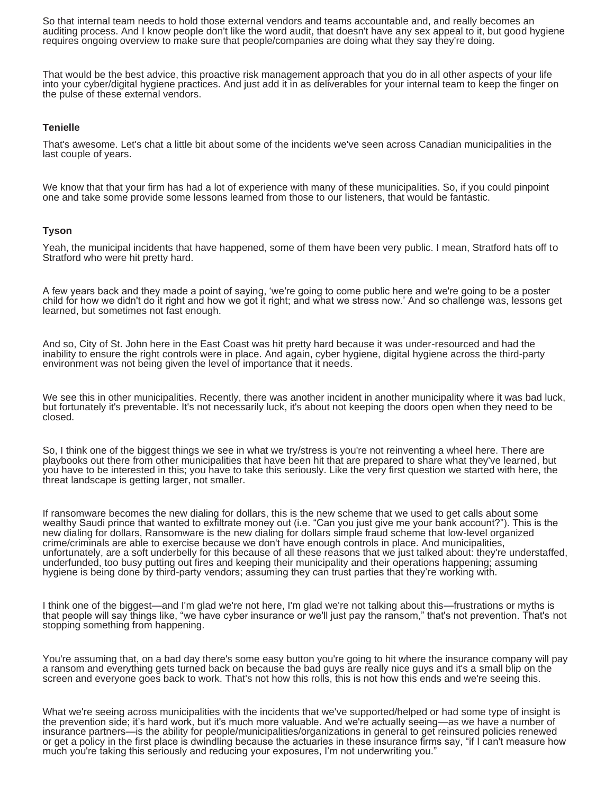So that internal team needs to hold those external vendors and teams accountable and, and really becomes an auditing process. And I know people don't like the word audit, that doesn't have any sex appeal to it, but good hygiene requires ongoing overview to make sure that people/companies are doing what they say they're doing.

That would be the best advice, this proactive risk management approach that you do in all other aspects of your life into your cyber/digital hygiene practices. And just add it in as deliverables for your internal team to keep the finger on the pulse of these external vendors.

## **Tenielle**

That's awesome. Let's chat a little bit about some of the incidents we've seen across Canadian municipalities in the last couple of years.

We know that that your firm has had a lot of experience with many of these municipalities. So, if you could pinpoint one and take some provide some lessons learned from those to our listeners, that would be fantastic.

### **Tyson**

Yeah, the municipal incidents that have happened, some of them have been very public. I mean, Stratford hats off to Stratford who were hit pretty hard.

A few years back and they made a point of saying, 'we're going to come public here and we're going to be a poster child for how we didn't do it right and how we got it right; and what we stress now.' And so challenge was, lessons get learned, but sometimes not fast enough.

And so, City of St. John here in the East Coast was hit pretty hard because it was under-resourced and had the inability to ensure the right controls were in place. And again, cyber hygiene, digital hygiene across the third-party environment was not being given the level of importance that it needs.

We see this in other municipalities. Recently, there was another incident in another municipality where it was bad luck, but fortunately it's preventable. It's not necessarily luck, it's about not keeping the doors open when they need to be closed.

So, I think one of the biggest things we see in what we try/stress is you're not reinventing a wheel here. There are playbooks out there from other municipalities that have been hit that are prepared to share what they've learned, but you have to be interested in this; you have to take this seriously. Like the very first question we started with here, the threat landscape is getting larger, not smaller.

If ransomware becomes the new dialing for dollars, this is the new scheme that we used to get calls about some wealthy Saudi prince that wanted to exfiltrate money out (i.e. "Can you just give me your bank account?"). This is the new dialing for dollars, Ransomware is the new dialing for dollars simple fraud scheme that low-level organized crime/criminals are able to exercise because we don't have enough controls in place. And municipalities, unfortunately, are a soft underbelly for this because of all these reasons that we just talked about: they're understaffed, underfunded, too busy putting out fires and keeping their municipality and their operations happening; assuming hygiene is being done by third-party vendors; assuming they can trust parties that they're working with.

I think one of the biggest—and I'm glad we're not here, I'm glad we're not talking about this—frustrations or myths is that people will say things like, "we have cyber insurance or we'll just pay the ransom," that's not prevention. That's not stopping something from happening.

You're assuming that, on a bad day there's some easy button you're going to hit where the insurance company will pay a ransom and everything gets turned back on because the bad guys are really nice guys and it's a small blip on the screen and everyone goes back to work. That's not how this rolls, this is not how this ends and we're seeing this.

What we're seeing across municipalities with the incidents that we've supported/helped or had some type of insight is the prevention side; it's hard work, but it's much more valuable. And we're actually seeing—as we have a number of insurance partners—is the ability for people/municipalities/organizations in general to get reinsured policies renewed or get a policy in the first place is dwindling because the actuaries in these insurance firms say, "if I can't measure how much you're taking this seriously and reducing your exposures, I'm not underwriting you."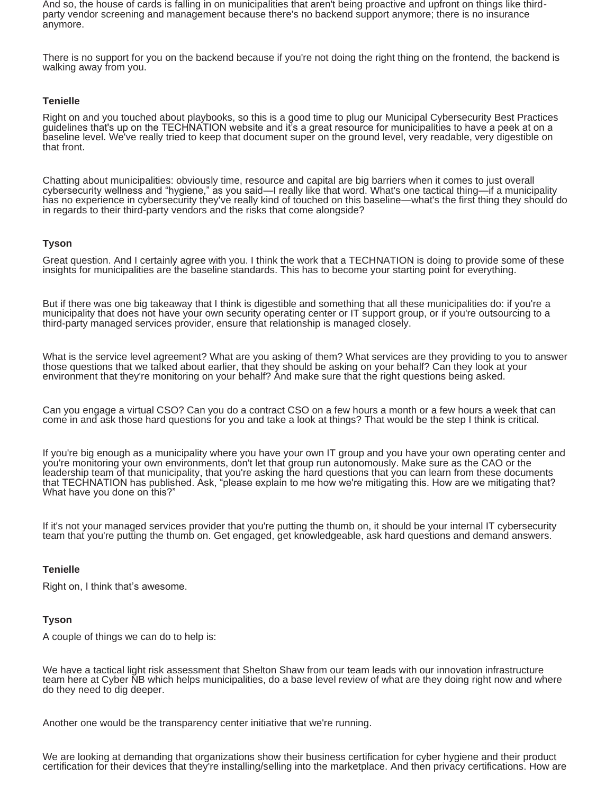And so, the house of cards is falling in on municipalities that aren't being proactive and upfront on things like thirdparty vendor screening and management because there's no backend support anymore; there is no insurance anymore.

There is no support for you on the backend because if you're not doing the right thing on the frontend, the backend is walking away from you.

## **Tenielle**

Right on and you touched about playbooks, so this is a good time to plug our Municipal Cybersecurity Best Practices guidelines that's up on the TECHNATION website and it's a great resource for municipalities to have a peek at on a baseline level. We've really tried to keep that document super on the ground level, very readable, very digestible on that front.

Chatting about municipalities: obviously time, resource and capital are big barriers when it comes to just overall cybersecurity wellness and "hygiene," as you said—I really like that word. What's one tactical thing—if a municipality has no experience in cybersecurity they've really kind of touched on this baseline—what's the first thing they should do in regards to their third-party vendors and the risks that come alongside?

## **Tyson**

Great question. And I certainly agree with you. I think the work that a TECHNATION is doing to provide some of these insights for municipalities are the baseline standards. This has to become your starting point for everything.

But if there was one big takeaway that I think is digestible and something that all these municipalities do: if you're a municipality that does not have your own security operating center or IT support group, or if you're outsourcing to a third-party managed services provider, ensure that relationship is managed closely.

What is the service level agreement? What are you asking of them? What services are they providing to you to answer those questions that we talked about earlier, that they should be asking on your behalf? Can they look at your environment that they're monitoring on your behalf? And make sure that the right questions being asked.

Can you engage a virtual CSO? Can you do a contract CSO on a few hours a month or a few hours a week that can come in and ask those hard questions for you and take a look at things? That would be the step I think is critical.

If you're big enough as a municipality where you have your own IT group and you have your own operating center and you're monitoring your own environments, don't let that group run autonomously. Make sure as the CAO or the leadership team of that municipality, that you're asking the hard questions that you can learn from these documents that TECHNATION has published. Ask, "please explain to me how we're mitigating this. How are we mitigating that? What have you done on this?"

If it's not your managed services provider that you're putting the thumb on, it should be your internal IT cybersecurity team that you're putting the thumb on. Get engaged, get knowledgeable, ask hard questions and demand answers.

# **Tenielle**

Right on, I think that's awesome.

# **Tyson**

A couple of things we can do to help is:

We have a tactical light risk assessment that Shelton Shaw from our team leads with our innovation infrastructure team here at Cyber NB which helps municipalities, do a base level review of what are they doing right now and where do they need to dig deeper.

Another one would be the transparency center initiative that we're running.

We are looking at demanding that organizations show their business certification for cyber hygiene and their product certification for their devices that they're installing/selling into the marketplace. And then privacy certifications. How are